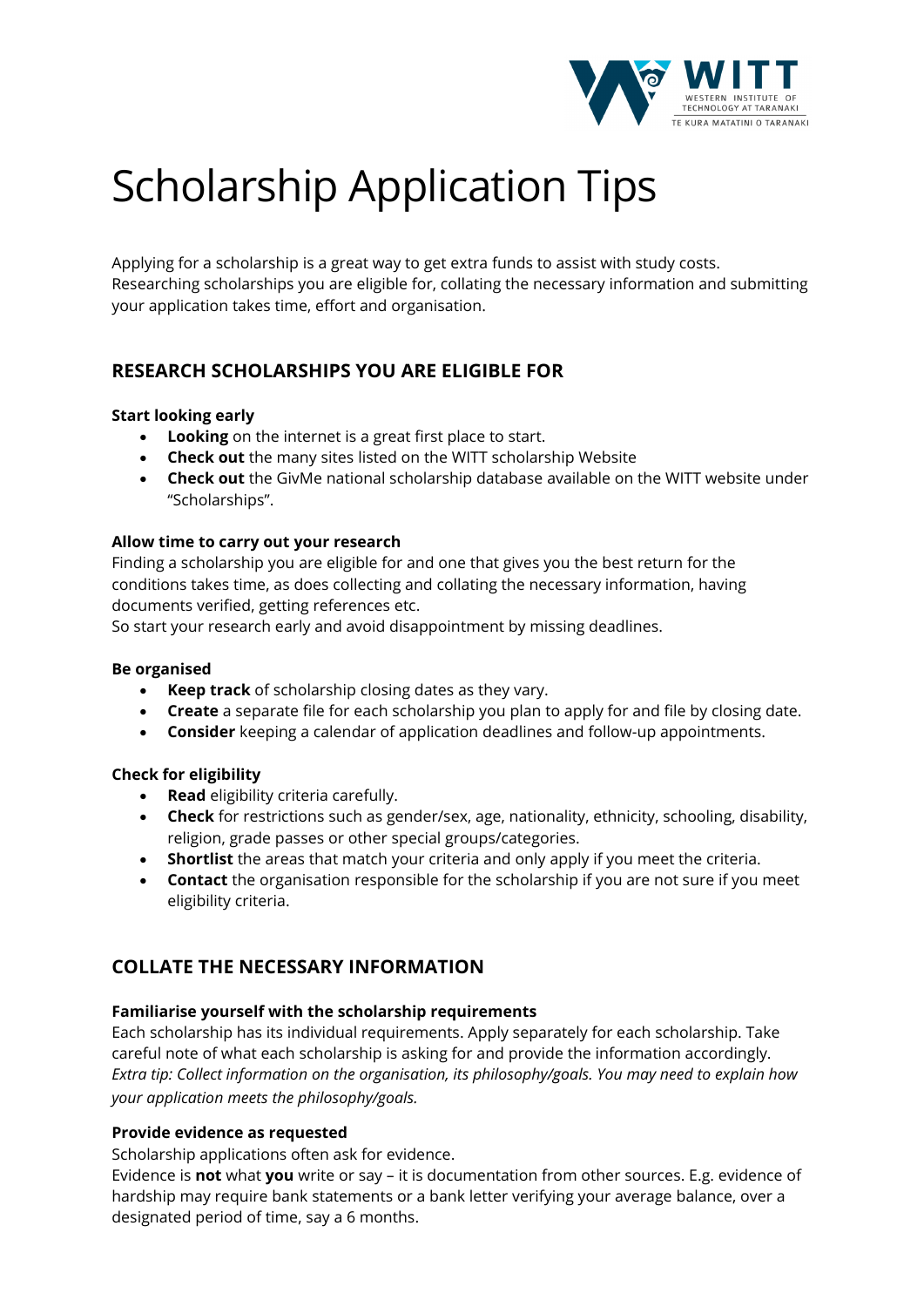

# Scholarship Application Tips

Applying for a scholarship is a great way to get extra funds to assist with study costs. Researching scholarships you are eligible for, collating the necessary information and submitting your application takes time, effort and organisation.

# **RESEARCH SCHOLARSHIPS YOU ARE ELIGIBLE FOR**

## **Start looking early**

- **Looking** on the internet is a great first place to start.
- **Check out** the many sites listed on the WITT scholarship Website
- **Check out** the GivMe national scholarship database available on the WITT website under "Scholarships".

#### **Allow time to carry out your research**

Finding a scholarship you are eligible for and one that gives you the best return for the conditions takes time, as does collecting and collating the necessary information, having documents verified, getting references etc.

So start your research early and avoid disappointment by missing deadlines.

#### **Be organised**

- **Keep track** of scholarship closing dates as they vary.
- **Create** a separate file for each scholarship you plan to apply for and file by closing date.
- **Consider** keeping a calendar of application deadlines and follow-up appointments.

## **Check for eligibility**

- **Read** eligibility criteria carefully.
- **Check** for restrictions such as gender/sex, age, nationality, ethnicity, schooling, disability, religion, grade passes or other special groups/categories.
- **Shortlist** the areas that match your criteria and only apply if you meet the criteria.
- **Contact** the organisation responsible for the scholarship if you are not sure if you meet eligibility criteria.

# **COLLATE THE NECESSARY INFORMATION**

#### **Familiarise yourself with the scholarship requirements**

Each scholarship has its individual requirements. Apply separately for each scholarship. Take careful note of what each scholarship is asking for and provide the information accordingly. *Extra tip: Collect information on the organisation, its philosophy/goals. You may need to explain how your application meets the philosophy/goals.*

#### **Provide evidence as requested**

Scholarship applications often ask for evidence.

Evidence is **not** what **you** write or say – it is documentation from other sources. E.g. evidence of hardship may require bank statements or a bank letter verifying your average balance, over a designated period of time, say a 6 months.